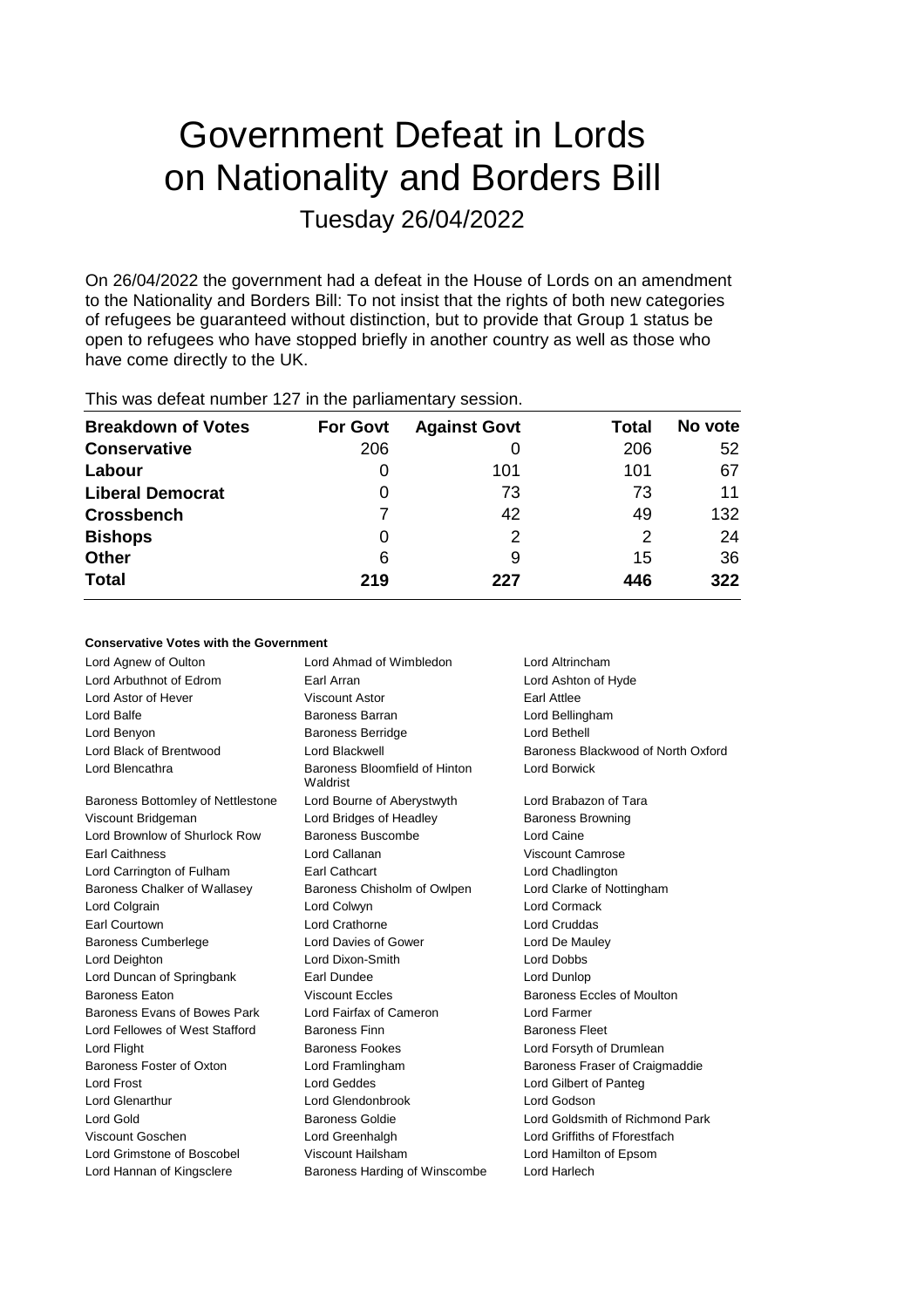# Government Defeat in Lords on Nationality and Borders Bill Tuesday 26/04/2022

On 26/04/2022 the government had a defeat in the House of Lords on an amendment to the Nationality and Borders Bill: To not insist that the rights of both new categories of refugees be guaranteed without distinction, but to provide that Group 1 status be open to refugees who have stopped briefly in another country as well as those who have come directly to the UK.

| <b>Breakdown of Votes</b> | <b>For Govt</b> | <b>Against Govt</b> | Total | No vote |
|---------------------------|-----------------|---------------------|-------|---------|
| <b>Conservative</b>       | 206             |                     | 206   | 52      |
| Labour                    | 0               | 101                 | 101   | 67      |
| <b>Liberal Democrat</b>   | 0               | 73                  | 73    | 11      |
| <b>Crossbench</b>         |                 | 42                  | 49    | 132     |
| <b>Bishops</b>            | 0               | 2                   | 2     | 24      |
| <b>Other</b>              | 6               | 9                   | 15    | 36      |
| <b>Total</b>              | 219             | 227                 | 446   | 322     |
|                           |                 |                     |       |         |

This was defeat number 127 in the parliamentary session.

# **Conservative Votes with the Government**

| Lord Agnew of Oulton              | Lord Ahmad of Wimbledon                   | Lord Altrincham                    |
|-----------------------------------|-------------------------------------------|------------------------------------|
| Lord Arbuthnot of Edrom           | Earl Arran                                | Lord Ashton of Hyde                |
| Lord Astor of Hever               | Viscount Astor                            | Earl Attlee                        |
| Lord Balfe                        | Baroness Barran                           | Lord Bellingham                    |
| Lord Benyon                       | <b>Baroness Berridge</b>                  | Lord Bethell                       |
| Lord Black of Brentwood           | Lord Blackwell                            | Baroness Blackwood of North Oxford |
| Lord Blencathra                   | Baroness Bloomfield of Hinton<br>Waldrist | <b>Lord Borwick</b>                |
| Baroness Bottomley of Nettlestone | Lord Bourne of Aberystwyth                | Lord Brabazon of Tara              |
| Viscount Bridgeman                | Lord Bridges of Headley                   | <b>Baroness Browning</b>           |
| Lord Brownlow of Shurlock Row     | Baroness Buscombe                         | Lord Caine                         |
| <b>Earl Caithness</b>             | Lord Callanan                             | Viscount Camrose                   |
| Lord Carrington of Fulham         | Earl Cathcart                             | Lord Chadlington                   |
| Baroness Chalker of Wallasey      | Baroness Chisholm of Owlpen               | Lord Clarke of Nottingham          |
| Lord Colgrain                     | Lord Colwyn                               | Lord Cormack                       |
| Earl Courtown                     | Lord Crathorne                            | Lord Cruddas                       |
| <b>Baroness Cumberlege</b>        | Lord Davies of Gower                      | Lord De Mauley                     |
| Lord Deighton                     | Lord Dixon-Smith                          | <b>Lord Dobbs</b>                  |
| Lord Duncan of Springbank         | Earl Dundee                               | Lord Dunlop                        |
| <b>Baroness Eaton</b>             | <b>Viscount Eccles</b>                    | Baroness Eccles of Moulton         |
| Baroness Evans of Bowes Park      | Lord Fairfax of Cameron                   | Lord Farmer                        |
| Lord Fellowes of West Stafford    | <b>Baroness Finn</b>                      | <b>Baroness Fleet</b>              |
| Lord Flight                       | <b>Baroness Fookes</b>                    | Lord Forsyth of Drumlean           |
| Baroness Foster of Oxton          | Lord Framlingham                          | Baroness Fraser of Craigmaddie     |
| Lord Frost                        | Lord Geddes                               | Lord Gilbert of Panteg             |
| Lord Glenarthur                   | Lord Glendonbrook                         | Lord Godson                        |
| Lord Gold                         | <b>Baroness Goldie</b>                    | Lord Goldsmith of Richmond Park    |
| Viscount Goschen                  | Lord Greenhalgh                           | Lord Griffiths of Fforestfach      |
| Lord Grimstone of Boscobel        | Viscount Hailsham                         | Lord Hamilton of Epsom             |
| Lord Hannan of Kingsclere         | Baroness Harding of Winscombe             | Lord Harlech                       |
|                                   |                                           |                                    |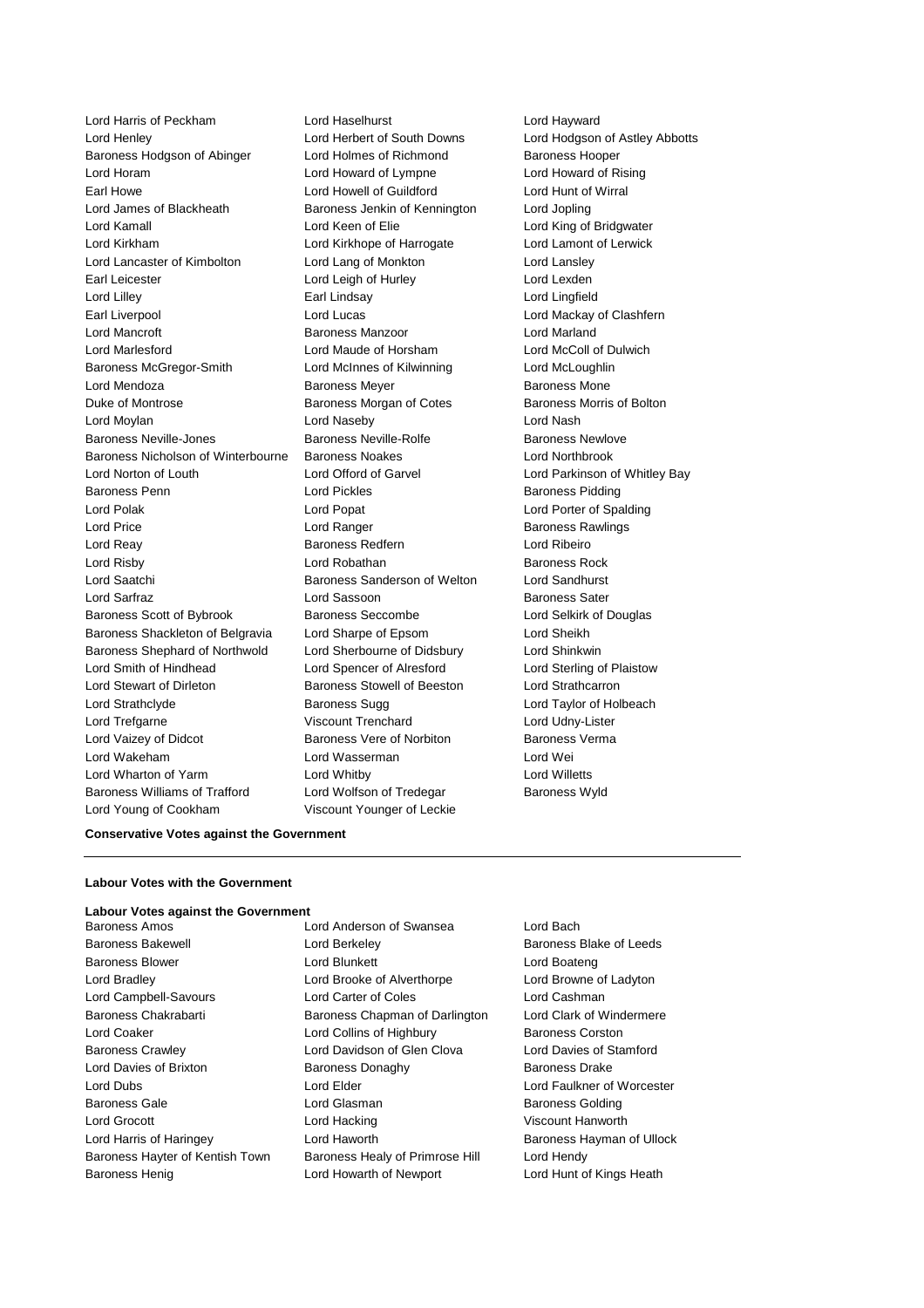Lord Harris of Peckham Lord Haselhurst Lord Hayward Lord Henley Lord Herbert of South Downs Lord Hodgson of Astley Abbotts Baroness Hodgson of Abinger Lord Holmes of Richmond Baroness Hooper Lord Horam Lord Howard of Lympne Lord Howard of Rising Earl Howe Lord Howell of Guildford Lord Hunt of Wirral Lord James of Blackheath Baroness Jenkin of Kennington Lord Jopling Lord Kamall Lord Keen of Elie Lord King of Bridgwater Lord Kirkham Lord Kirkhope of Harrogate Lord Lamont of Lerwick Lord Lancaster of Kimbolton Lord Lang of Monkton Lord Lansley Earl Leicester Lord Leigh of Hurley Lord Lexden Lord Lilley Earl Lindsay Lord Lingfield Earl Liverpool Lord Lucas Lord Mackay of Clashfern Lord Mancroft Baroness Manzoor Lord Marland Lord Marlesford Lord Maude of Horsham Lord McColl of Dulwich Baroness McGregor-Smith Lord McInnes of Kilwinning Lord McLoughlin Lord Mendoza **Baroness Meyer** Baroness Meyer **Baroness Mone** Duke of Montrose Baroness Morgan of Cotes Baroness Morris of Bolton Lord Moylan Lord Naseby Lord Nash Baroness Neville-Jones Baroness Neville-Rolfe Baroness Newlove Baroness Nicholson of Winterbourne Baroness Noakes Lord Northbrook Lord Norton of Louth Lord Offord of Garvel Lord Parkinson of Whitley Bay Baroness Penn **Connect Connect Connect Lord Pickles** Baroness Pidding Baroness Pidding Lord Polak Lord Popat Lord Porter of Spalding **Lord Price Lord Ranger Lord Ranger Baroness Rawlings** Lord Reay **Baroness Redfern Lord Ribeiro Lord Ribeiro** Lord Risby **Lord Robathan** Baroness Rock Lord Saatchi **Baroness Sanderson of Welton** Lord Sandhurst Lord Sarfraz **Lord Sassoon** Baroness Sater Baroness Scott of Bybrook Baroness Seccombe Lord Selkirk of Douglas Baroness Shackleton of Belgravia Lord Sharpe of Epsom Lord Sheikh Baroness Shephard of Northwold Lord Sherbourne of Didsbury Lord Shinkwin Lord Smith of Hindhead Lord Spencer of Alresford Lord Sterling of Plaistow Lord Stewart of Dirleton Baroness Stowell of Beeston Lord Strathcarron Lord Strathclyde **Baroness Sugg Lord Taylor of Holbeach** Baroness Sugg Lord Taylor of Holbeach Lord Trefgarne Viscount Trenchard Lord Udny-Lister Lord Vaizey of Didcot **Baroness Vere of Norbiton** Baroness Verma Lord Wakeham Lord Wasserman Lord Wei Lord Wharton of Yarm Lord Whitby Lord Willetts Baroness Williams of Trafford Lord Wolfson of Tredegar Baroness Wyld Lord Young of Cookham Viscount Younger of Leckie

### **Conservative Votes against the Government**

#### **Labour Votes with the Government**

#### **Labour Votes against the Government**

Baroness Amos Lord Anderson of Swansea Lord Bach Baroness Henig **Lord Howarth of Newport** Lord Hunt of Kings Heath

Baroness Bakewell **Baroness Bakewell** Lord Berkeley **Baroness Blake of Leeds** Baroness Blower Lord Blunkett Lord Boateng Lord Bradley Lord Brooke of Alverthorpe Lord Browne of Ladyton Lord Campbell-Savours Lord Carter of Coles Lord Cashman Baroness Chakrabarti **Baroness Chapman of Darlington** Lord Clark of Windermere Lord Coaker Lord Collins of Highbury Baroness Corston Baroness Crawley Lord Davidson of Glen Clova Lord Davies of Stamford Lord Davies of Brixton Baroness Donaghy Baroness Drake Lord Dubs Lord Elder Lord Faulkner of Worcester Baroness Gale **Communist Contract Contract Contract Contract Contract Contract Contract Contract Contract Contract Contract Contract Contract Contract Contract Contract Contract Contract Contract Contract Contract Contract** Lord Grocott Lord Hacking Viscount Hanworth Lord Harris of Haringey **Lord Haworth Baroness Hayman of Ullock** Baroness Hayman of Ullock Baroness Hayter of Kentish Town Baroness Healy of Primrose Hill Lord Hendy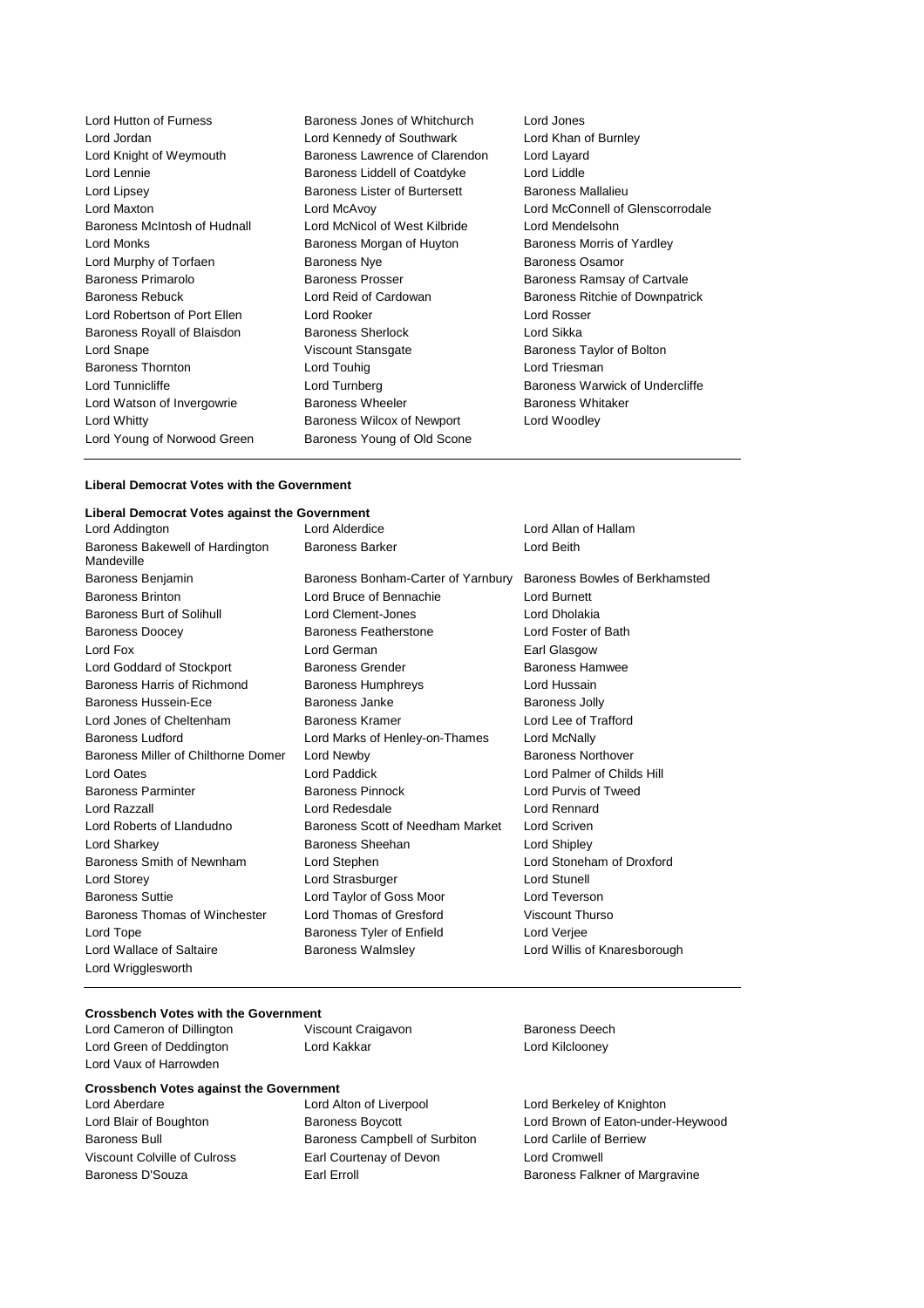Lord Hutton of Furness **Baroness Jones of Whitchurch** Lord Jones<br>
Lord Jordan Lord Kennedy of Southwark Lord Khan of Burnley Lord Jordan **Lord Kennedy of Southwark** Lord Knight of Weymouth Baroness Lawrence of Clarendon Lord Layard Lord Lennie **Baroness Liddell of Coatdyke** Lord Liddle Lord Lipsey Baroness Lister of Burtersett Baroness Mallalieu Lord Maxton Lord McAvoy Lord McConnell of Glenscorrodale Baroness McIntosh of Hudnall Lord McNicol of West Kilbride Lord Mendelsohn Lord Monks **Baroness Morgan of Huyton** Baroness Morris of Yardley Lord Murphy of Torfaen **Baroness Nye** Baroness Nye Baroness Osamor Baroness Primarolo **Baroness Prosser** Baroness Ramsay of Cartvale Baroness Rebuck **Lord Reid of Cardowan** Baroness Ritchie of Downpatrick Lord Robertson of Port Ellen Lord Rooker Lord Rosser Baroness Royall of Blaisdon Baroness Sherlock Lord Sikka Lord Snape Viscount Stansgate Baroness Taylor of Bolton Baroness Thornton Lord Touhig Lord Triesman Lord Tunnicliffe **Lord Tunnicliffe** Lord Turnberg **Lord Baroness Warwick of Undercliffe** Lord Watson of Invergowrie **Baroness Wheeler** Baroness Whitaker Lord Whitty Baroness Wilcox of Newport Lord Woodley Lord Young of Norwood Green Baroness Young of Old Scone

#### **Liberal Democrat Votes with the Government**

#### **Liberal Democrat Votes against the Government** Lord Allan of Hallam Baroness Bakewell of Hardington Mandeville Baroness Barker **Lord Beith** Baroness Benjamin Baroness Bonham-Carter of Yarnbury Baroness Bowles of Berkhamsted Baroness Brinton Lord Bruce of Bennachie Lord Burnett Baroness Burt of Solihull Lord Clement-Jones Lord Dholakia Baroness Doocey Baroness Featherstone Lord Foster of Bath Lord Fox **Lord German** Earl Glasgow **Earl Glasgow** Lord Goddard of Stockport Baroness Grender Baroness Hamwee Baroness Harris of Richmond Baroness Humphreys Lord Hussain Baroness Hussein-Ece **Baroness** Janke Baroness Janke Baroness Jolly Lord Jones of Cheltenham Baroness Kramer Lord Lee of Trafford Baroness Ludford Lord Marks of Henley-on-Thames Lord McNally Baroness Miller of Chilthorne Domer Lord Newby **Baroness Northover** Baroness Northover Lord Oates Lord Paddick Lord Palmer of Childs Hill Baroness Parminter Baroness Pinnock Lord Purvis of Tweed Lord Razzall Lord Redesdale Lord Rennard Lord Roberts of Llandudno Baroness Scott of Needham Market Lord Scriven Lord Sharkey Baroness Sheehan Lord Shipley Baroness Smith of Newnham Lord Stephen Lord Stoneham of Droxford Lord Storey **Lord Strasburger** Lord Strasburger **Lord Stunell** Baroness Suttie Lord Taylor of Goss Moor Lord Teverson Baroness Thomas of Winchester Lord Thomas of Gresford Viscount Thurso Lord Tope **Baroness Tyler of Enfield** Lord Verjee Lord Wallace of Saltaire **Baroness Walmsley Communist Cord Willis of Knaresborough**

# **Crossbench Votes with the Government**<br>
Lord Cameron of Dillington<br>
Viscount Craigavon

Lord Cameron of Dillington Viscount Craigavon Baroness Deech Lord Green of Deddington Lord Kakkar Lord Kilclooney Lord Vaux of Harrowden

Lord Wrigglesworth

#### **Crossbench Votes against the Government** Lord Aberdare Lord Alton of Liverpool Lord Berkeley of Knighton

Baroness Bull **Baroness Campbell of Surbiton** Lord Carlile of Berriew Viscount Colville of Culross Earl Courtenay of Devon Lord Cromwell

Lord Blair of Boughton **Baroness Boycott Lord Brown of Eaton-under-Heywood** Baroness D'Souza **Earl Erroll** Earl Erroll Baroness Falkner of Margravine